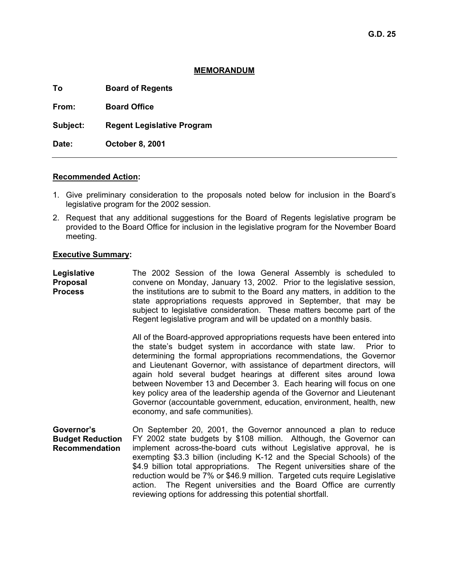# **MEMORANDUM**

**To Board of Regents** 

**From: Board Office** 

**Subject: Regent Legislative Program** 

**Date: October 8, 2001** 

# **Recommended Action:**

- 1. Give preliminary consideration to the proposals noted below for inclusion in the Board's legislative program for the 2002 session.
- 2. Request that any additional suggestions for the Board of Regents legislative program be provided to the Board Office for inclusion in the legislative program for the November Board meeting.

# **Executive Summary:**

**Legislative Proposal Process**  The 2002 Session of the Iowa General Assembly is scheduled to convene on Monday, January 13, 2002. Prior to the legislative session, the institutions are to submit to the Board any matters, in addition to the state appropriations requests approved in September, that may be subject to legislative consideration. These matters become part of the Regent legislative program and will be updated on a monthly basis.

> All of the Board-approved appropriations requests have been entered into the state's budget system in accordance with state law. Prior to determining the formal appropriations recommendations, the Governor and Lieutenant Governor, with assistance of department directors, will again hold several budget hearings at different sites around Iowa between November 13 and December 3. Each hearing will focus on one key policy area of the leadership agenda of the Governor and Lieutenant Governor (accountable government, education, environment, health, new economy, and safe communities).

**Governor's Budget Reduction Recommendation**  On September 20, 2001, the Governor announced a plan to reduce FY 2002 state budgets by \$108 million. Although, the Governor can implement across-the-board cuts without Legislative approval, he is exempting \$3.3 billion (including K-12 and the Special Schools) of the \$4.9 billion total appropriations. The Regent universities share of the reduction would be 7% or \$46.9 million. Targeted cuts require Legislative action. The Regent universities and the Board Office are currently reviewing options for addressing this potential shortfall.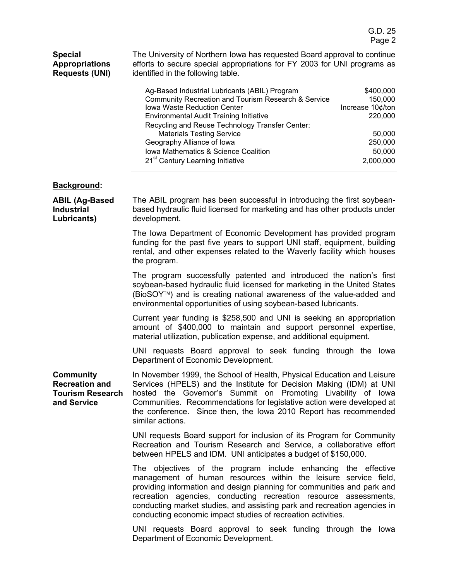| <b>Special</b><br><b>Appropriations</b><br><b>Requests (UNI)</b>                    | The University of Northern Iowa has requested Board approval to continue<br>efforts to secure special appropriations for FY 2003 for UNI programs as<br>identified in the following table.                                                                                                                                                                                                                                                                                                            |
|-------------------------------------------------------------------------------------|-------------------------------------------------------------------------------------------------------------------------------------------------------------------------------------------------------------------------------------------------------------------------------------------------------------------------------------------------------------------------------------------------------------------------------------------------------------------------------------------------------|
|                                                                                     | Ag-Based Industrial Lubricants (ABIL) Program<br>\$400,000<br>Community Recreation and Tourism Research & Service<br>150,000<br>Iowa Waste Reduction Center<br>Increase 10¢/ton<br>220,000<br><b>Environmental Audit Training Initiative</b><br>Recycling and Reuse Technology Transfer Center:<br><b>Materials Testing Service</b><br>50,000<br>250,000<br>Geography Alliance of Iowa<br>Iowa Mathematics & Science Coalition<br>50,000<br>21 <sup>st</sup> Century Learning Initiative<br>2,000,000 |
| <b>Background:</b>                                                                  |                                                                                                                                                                                                                                                                                                                                                                                                                                                                                                       |
| <b>ABIL (Ag-Based</b><br><b>Industrial</b><br>Lubricants)                           | The ABIL program has been successful in introducing the first soybean-<br>based hydraulic fluid licensed for marketing and has other products under<br>development.                                                                                                                                                                                                                                                                                                                                   |
|                                                                                     | The Iowa Department of Economic Development has provided program<br>funding for the past five years to support UNI staff, equipment, building<br>rental, and other expenses related to the Waverly facility which houses<br>the program.                                                                                                                                                                                                                                                              |
|                                                                                     | The program successfully patented and introduced the nation's first<br>soybean-based hydraulic fluid licensed for marketing in the United States<br>(BioSOY™) and is creating national awareness of the value-added and<br>environmental opportunities of using soybean-based lubricants.                                                                                                                                                                                                             |
|                                                                                     | Current year funding is \$258,500 and UNI is seeking an appropriation<br>amount of \$400,000 to maintain and support personnel expertise,<br>material utilization, publication expense, and additional equipment.                                                                                                                                                                                                                                                                                     |
|                                                                                     | UNI requests Board approval to seek funding through the lowa<br>Department of Economic Development.                                                                                                                                                                                                                                                                                                                                                                                                   |
| <b>Community</b><br><b>Recreation and</b><br><b>Tourism Research</b><br>and Service | In November 1999, the School of Health, Physical Education and Leisure<br>Services (HPELS) and the Institute for Decision Making (IDM) at UNI<br>hosted the Governor's Summit on Promoting Livability of Iowa<br>Communities. Recommendations for legislative action were developed at<br>the conference. Since then, the Iowa 2010 Report has recommended<br>similar actions.                                                                                                                        |
|                                                                                     | UNI requests Board support for inclusion of its Program for Community<br>Recreation and Tourism Research and Service, a collaborative effort<br>between HPELS and IDM. UNI anticipates a budget of \$150,000.                                                                                                                                                                                                                                                                                         |
|                                                                                     | The objectives of the program include enhancing the effective<br>management of human resources within the leisure service field,<br>providing information and design planning for communities and park and<br>recreation agencies, conducting recreation resource assessments,<br>conducting market studies, and assisting park and recreation agencies in<br>conducting economic impact studies of recreation activities.                                                                            |
|                                                                                     | UNI requests Board approval to seek funding through the lowa<br>Department of Economic Development.                                                                                                                                                                                                                                                                                                                                                                                                   |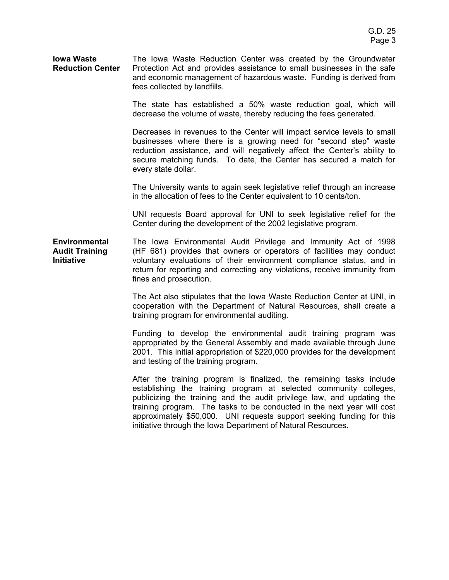#### **Iowa Waste Reduction Center**  The Iowa Waste Reduction Center was created by the Groundwater Protection Act and provides assistance to small businesses in the safe and economic management of hazardous waste. Funding is derived from fees collected by landfills.

The state has established a 50% waste reduction goal, which will decrease the volume of waste, thereby reducing the fees generated.

Decreases in revenues to the Center will impact service levels to small businesses where there is a growing need for "second step" waste reduction assistance, and will negatively affect the Center's ability to secure matching funds. To date, the Center has secured a match for every state dollar.

The University wants to again seek legislative relief through an increase in the allocation of fees to the Center equivalent to 10 cents/ton.

UNI requests Board approval for UNI to seek legislative relief for the Center during the development of the 2002 legislative program.

**Environmental Audit Training Initiative**  The Iowa Environmental Audit Privilege and Immunity Act of 1998 (HF 681) provides that owners or operators of facilities may conduct voluntary evaluations of their environment compliance status, and in return for reporting and correcting any violations, receive immunity from fines and prosecution.

> The Act also stipulates that the Iowa Waste Reduction Center at UNI, in cooperation with the Department of Natural Resources, shall create a training program for environmental auditing.

> Funding to develop the environmental audit training program was appropriated by the General Assembly and made available through June 2001. This initial appropriation of \$220,000 provides for the development and testing of the training program.

> After the training program is finalized, the remaining tasks include establishing the training program at selected community colleges, publicizing the training and the audit privilege law, and updating the training program. The tasks to be conducted in the next year will cost approximately \$50,000. UNI requests support seeking funding for this initiative through the Iowa Department of Natural Resources.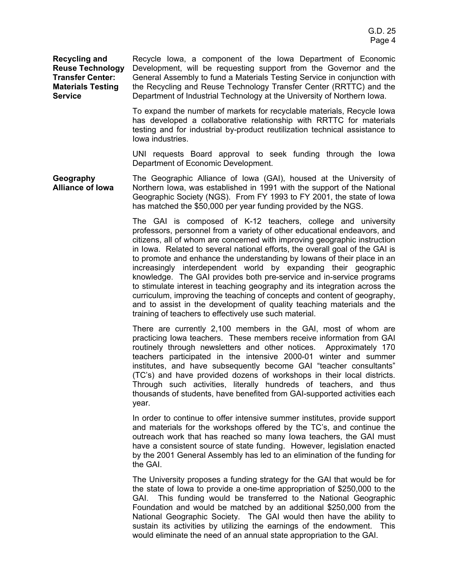**Recycling and Reuse Technology Transfer Center: Materials Testing Service** 

Recycle Iowa, a component of the Iowa Department of Economic Development, will be requesting support from the Governor and the General Assembly to fund a Materials Testing Service in conjunction with the Recycling and Reuse Technology Transfer Center (RRTTC) and the Department of Industrial Technology at the University of Northern Iowa.

To expand the number of markets for recyclable materials, Recycle Iowa has developed a collaborative relationship with RRTTC for materials testing and for industrial by-product reutilization technical assistance to Iowa industries.

UNI requests Board approval to seek funding through the Iowa Department of Economic Development.

**Geography Alliance of Iowa**  The Geographic Alliance of Iowa (GAI), housed at the University of Northern Iowa, was established in 1991 with the support of the National Geographic Society (NGS). From FY 1993 to FY 2001, the state of Iowa has matched the \$50,000 per year funding provided by the NGS.

> The GAI is composed of K-12 teachers, college and university professors, personnel from a variety of other educational endeavors, and citizens, all of whom are concerned with improving geographic instruction in Iowa. Related to several national efforts, the overall goal of the GAI is to promote and enhance the understanding by Iowans of their place in an increasingly interdependent world by expanding their geographic knowledge. The GAI provides both pre-service and in-service programs to stimulate interest in teaching geography and its integration across the curriculum, improving the teaching of concepts and content of geography, and to assist in the development of quality teaching materials and the training of teachers to effectively use such material.

> There are currently 2,100 members in the GAI, most of whom are practicing Iowa teachers. These members receive information from GAI routinely through newsletters and other notices. Approximately 170 teachers participated in the intensive 2000-01 winter and summer institutes, and have subsequently become GAI "teacher consultants" (TC's) and have provided dozens of workshops in their local districts. Through such activities, literally hundreds of teachers, and thus thousands of students, have benefited from GAI-supported activities each year.

> In order to continue to offer intensive summer institutes, provide support and materials for the workshops offered by the TC's, and continue the outreach work that has reached so many Iowa teachers, the GAI must have a consistent source of state funding. However, legislation enacted by the 2001 General Assembly has led to an elimination of the funding for the GAI.

> The University proposes a funding strategy for the GAI that would be for the state of Iowa to provide a one-time appropriation of \$250,000 to the GAI. This funding would be transferred to the National Geographic Foundation and would be matched by an additional \$250,000 from the National Geographic Society. The GAI would then have the ability to sustain its activities by utilizing the earnings of the endowment. This would eliminate the need of an annual state appropriation to the GAI.